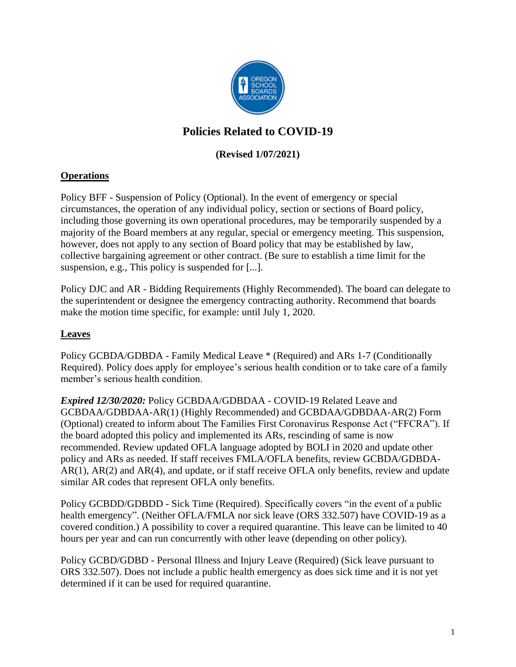

# **Policies Related to COVID-19**

## **(Revised 1/07/2021)**

### **Operations**

Policy BFF - Suspension of Policy (Optional). In the event of emergency or special circumstances, the operation of any individual policy, section or sections of Board policy, including those governing its own operational procedures, may be temporarily suspended by a majority of the Board members at any regular, special or emergency meeting. This suspension, however, does not apply to any section of Board policy that may be established by law, collective bargaining agreement or other contract. (Be sure to establish a time limit for the suspension, e.g., This policy is suspended for [...].

Policy DJC and AR - Bidding Requirements (Highly Recommended). The board can delegate to the superintendent or designee the emergency contracting authority. Recommend that boards make the motion time specific, for example: until July 1, 2020.

#### **Leaves**

Policy GCBDA/GDBDA - Family Medical Leave \* (Required) and ARs 1-7 (Conditionally Required). Policy does apply for employee's serious health condition or to take care of a family member's serious health condition.

*Expired 12/30/2020:* Policy GCBDAA/GDBDAA - COVID-19 Related Leave and GCBDAA/GDBDAA-AR(1) (Highly Recommended) and GCBDAA/GDBDAA-AR(2) Form (Optional) created to inform about The Families First Coronavirus Response Act ("FFCRA"). If the board adopted this policy and implemented its ARs, rescinding of same is now recommended. Review updated OFLA language adopted by BOLI in 2020 and update other policy and ARs as needed. If staff receives FMLA/OFLA benefits, review GCBDA/GDBDA-AR(1), AR(2) and AR(4), and update, or if staff receive OFLA only benefits, review and update similar AR codes that represent OFLA only benefits.

Policy GCBDD/GDBDD - Sick Time (Required). Specifically covers "in the event of a public health emergency". (Neither OFLA/FMLA nor sick leave (ORS 332.507) have COVID-19 as a covered condition.) A possibility to cover a required quarantine. This leave can be limited to 40 hours per year and can run concurrently with other leave (depending on other policy).

Policy GCBD/GDBD - Personal Illness and Injury Leave (Required) (Sick leave pursuant to ORS 332.507). Does not include a public health emergency as does sick time and it is not yet determined if it can be used for required quarantine.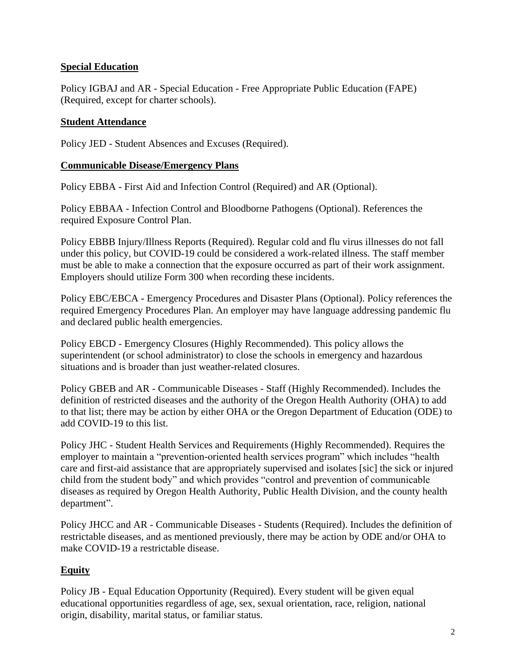### **Special Education**

Policy IGBAJ and AR - Special Education - Free Appropriate Public Education (FAPE) (Required, except for charter schools).

#### **Student Attendance**

Policy JED - Student Absences and Excuses (Required).

#### **Communicable Disease/Emergency Plans**

Policy EBBA - First Aid and Infection Control (Required) and AR (Optional).

Policy EBBAA - Infection Control and Bloodborne Pathogens (Optional). References the required Exposure Control Plan.

Policy EBBB Injury/Illness Reports (Required). Regular cold and flu virus illnesses do not fall under this policy, but COVID-19 could be considered a work-related illness. The staff member must be able to make a connection that the exposure occurred as part of their work assignment. Employers should utilize Form 300 when recording these incidents.

Policy EBC/EBCA - Emergency Procedures and Disaster Plans (Optional). Policy references the required Emergency Procedures Plan. An employer may have language addressing pandemic flu and declared public health emergencies.

Policy EBCD - Emergency Closures (Highly Recommended). This policy allows the superintendent (or school administrator) to close the schools in emergency and hazardous situations and is broader than just weather-related closures.

Policy GBEB and AR - Communicable Diseases - Staff (Highly Recommended). Includes the definition of restricted diseases and the authority of the Oregon Health Authority (OHA) to add to that list; there may be action by either OHA or the Oregon Department of Education (ODE) to add COVID-19 to this list.

Policy JHC - Student Health Services and Requirements (Highly Recommended). Requires the employer to maintain a "prevention-oriented health services program" which includes "health care and first-aid assistance that are appropriately supervised and isolates [sic] the sick or injured child from the student body" and which provides "control and prevention of communicable diseases as required by Oregon Health Authority, Public Health Division, and the county health department".

Policy JHCC and AR - Communicable Diseases - Students (Required). Includes the definition of restrictable diseases, and as mentioned previously, there may be action by ODE and/or OHA to make COVID-19 a restrictable disease.

# **Equity**

Policy JB - Equal Education Opportunity (Required). Every student will be given equal educational opportunities regardless of age, sex, sexual orientation, race, religion, national origin, disability, marital status, or familiar status.